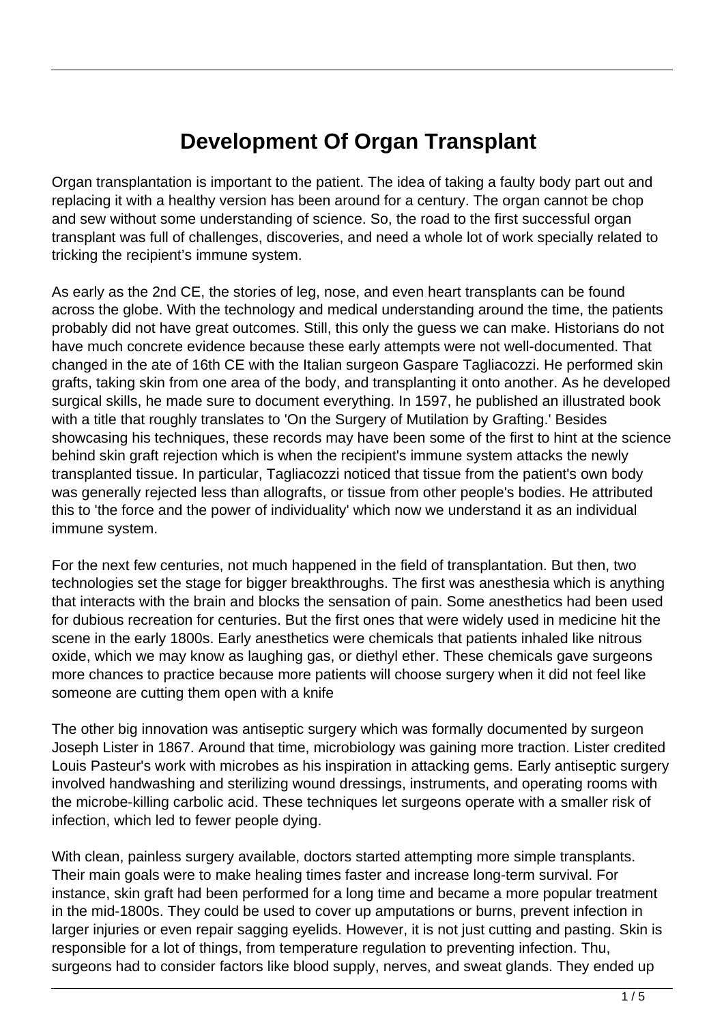## **Development Of Organ Transplant**

Organ transplantation is important to the patient. The idea of taking a faulty body part out and replacing it with a healthy version has been around for a century. The organ cannot be chop and sew without some understanding of science. So, the road to the first successful organ transplant was full of challenges, discoveries, and need a whole lot of work specially related to tricking the recipient's immune system.

As early as the 2nd CE, the stories of leg, nose, and even heart transplants can be found across the globe. With the technology and medical understanding around the time, the patients probably did not have great outcomes. Still, this only the guess we can make. Historians do not have much concrete evidence because these early attempts were not well-documented. That changed in the ate of 16th CE with the Italian surgeon Gaspare Tagliacozzi. He performed skin grafts, taking skin from one area of the body, and transplanting it onto another. As he developed surgical skills, he made sure to document everything. In 1597, he published an illustrated book with a title that roughly translates to 'On the Surgery of Mutilation by Grafting.' Besides showcasing his techniques, these records may have been some of the first to hint at the science behind skin graft rejection which is when the recipient's immune system attacks the newly transplanted tissue. In particular, Tagliacozzi noticed that tissue from the patient's own body was generally rejected less than allografts, or tissue from other people's bodies. He attributed this to 'the force and the power of individuality' which now we understand it as an individual immune system.

For the next few centuries, not much happened in the field of transplantation. But then, two technologies set the stage for bigger breakthroughs. The first was anesthesia which is anything that interacts with the brain and blocks the sensation of pain. Some anesthetics had been used for dubious recreation for centuries. But the first ones that were widely used in medicine hit the scene in the early 1800s. Early anesthetics were chemicals that patients inhaled like nitrous oxide, which we may know as laughing gas, or diethyl ether. These chemicals gave surgeons more chances to practice because more patients will choose surgery when it did not feel like someone are cutting them open with a knife

The other big innovation was antiseptic surgery which was formally documented by surgeon Joseph Lister in 1867. Around that time, microbiology was gaining more traction. Lister credited Louis Pasteur's work with microbes as his inspiration in attacking gems. Early antiseptic surgery involved handwashing and sterilizing wound dressings, instruments, and operating rooms with the microbe-killing carbolic acid. These techniques let surgeons operate with a smaller risk of infection, which led to fewer people dying.

With clean, painless surgery available, doctors started attempting more simple transplants. Their main goals were to make healing times faster and increase long-term survival. For instance, skin graft had been performed for a long time and became a more popular treatment in the mid-1800s. They could be used to cover up amputations or burns, prevent infection in larger injuries or even repair sagging eyelids. However, it is not just cutting and pasting. Skin is responsible for a lot of things, from temperature regulation to preventing infection. Thu, surgeons had to consider factors like blood supply, nerves, and sweat glands. They ended up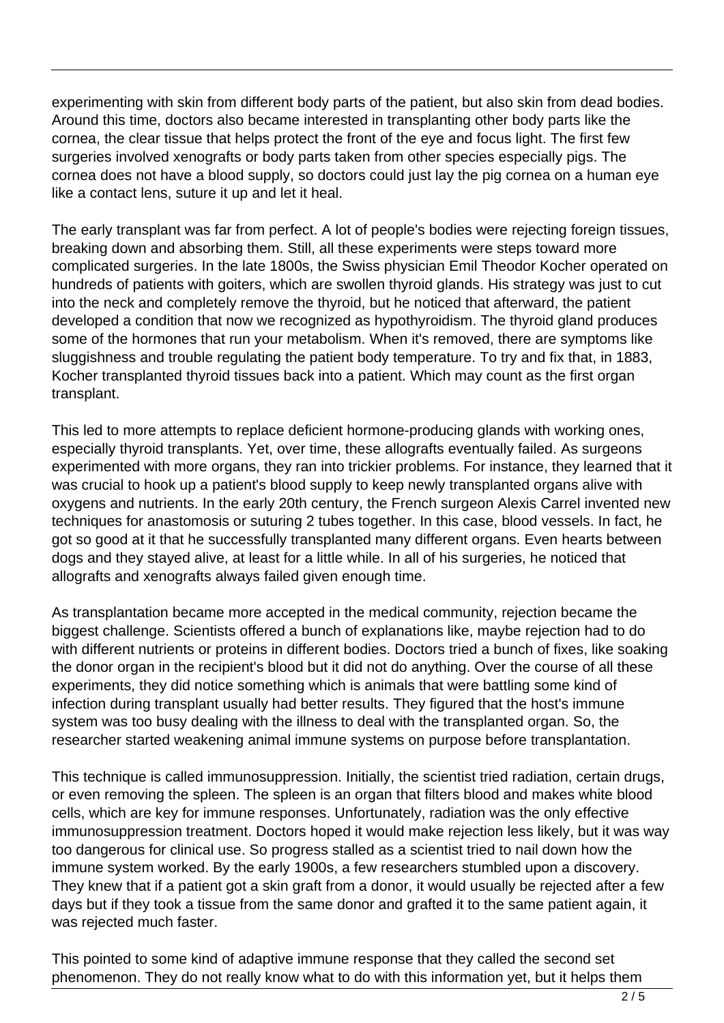experimenting with skin from different body parts of the patient, but also skin from dead bodies. Around this time, doctors also became interested in transplanting other body parts like the cornea, the clear tissue that helps protect the front of the eye and focus light. The first few surgeries involved xenografts or body parts taken from other species especially pigs. The cornea does not have a blood supply, so doctors could just lay the pig cornea on a human eye like a contact lens, suture it up and let it heal.

The early transplant was far from perfect. A lot of people's bodies were rejecting foreign tissues, breaking down and absorbing them. Still, all these experiments were steps toward more complicated surgeries. In the late 1800s, the Swiss physician Emil Theodor Kocher operated on hundreds of patients with goiters, which are swollen thyroid glands. His strategy was just to cut into the neck and completely remove the thyroid, but he noticed that afterward, the patient developed a condition that now we recognized as hypothyroidism. The thyroid gland produces some of the hormones that run your metabolism. When it's removed, there are symptoms like sluggishness and trouble regulating the patient body temperature. To try and fix that, in 1883, Kocher transplanted thyroid tissues back into a patient. Which may count as the first organ transplant.

This led to more attempts to replace deficient hormone-producing glands with working ones, especially thyroid transplants. Yet, over time, these allografts eventually failed. As surgeons experimented with more organs, they ran into trickier problems. For instance, they learned that it was crucial to hook up a patient's blood supply to keep newly transplanted organs alive with oxygens and nutrients. In the early 20th century, the French surgeon Alexis Carrel invented new techniques for anastomosis or suturing 2 tubes together. In this case, blood vessels. In fact, he got so good at it that he successfully transplanted many different organs. Even hearts between dogs and they stayed alive, at least for a little while. In all of his surgeries, he noticed that allografts and xenografts always failed given enough time.

As transplantation became more accepted in the medical community, rejection became the biggest challenge. Scientists offered a bunch of explanations like, maybe rejection had to do with different nutrients or proteins in different bodies. Doctors tried a bunch of fixes, like soaking the donor organ in the recipient's blood but it did not do anything. Over the course of all these experiments, they did notice something which is animals that were battling some kind of infection during transplant usually had better results. They figured that the host's immune system was too busy dealing with the illness to deal with the transplanted organ. So, the researcher started weakening animal immune systems on purpose before transplantation.

This technique is called immunosuppression. Initially, the scientist tried radiation, certain drugs, or even removing the spleen. The spleen is an organ that filters blood and makes white blood cells, which are key for immune responses. Unfortunately, radiation was the only effective immunosuppression treatment. Doctors hoped it would make rejection less likely, but it was way too dangerous for clinical use. So progress stalled as a scientist tried to nail down how the immune system worked. By the early 1900s, a few researchers stumbled upon a discovery. They knew that if a patient got a skin graft from a donor, it would usually be rejected after a few days but if they took a tissue from the same donor and grafted it to the same patient again, it was rejected much faster.

This pointed to some kind of adaptive immune response that they called the second set phenomenon. They do not really know what to do with this information yet, but it helps them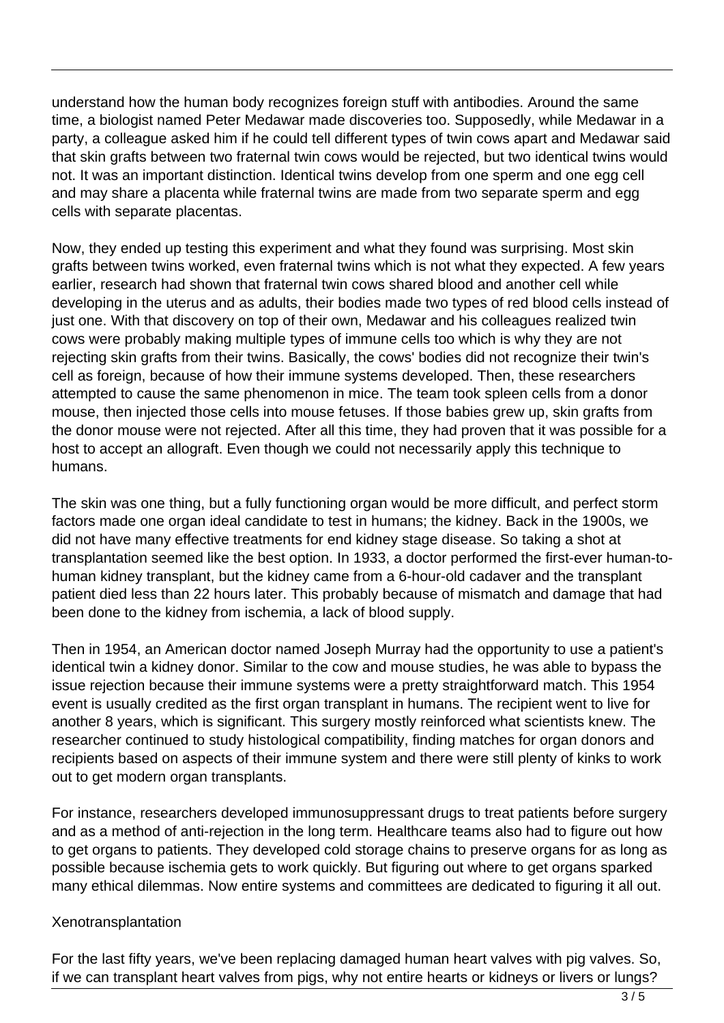understand how the human body recognizes foreign stuff with antibodies. Around the same time, a biologist named Peter Medawar made discoveries too. Supposedly, while Medawar in a party, a colleague asked him if he could tell different types of twin cows apart and Medawar said that skin grafts between two fraternal twin cows would be rejected, but two identical twins would not. It was an important distinction. Identical twins develop from one sperm and one egg cell and may share a placenta while fraternal twins are made from two separate sperm and egg cells with separate placentas.

Now, they ended up testing this experiment and what they found was surprising. Most skin grafts between twins worked, even fraternal twins which is not what they expected. A few years earlier, research had shown that fraternal twin cows shared blood and another cell while developing in the uterus and as adults, their bodies made two types of red blood cells instead of just one. With that discovery on top of their own, Medawar and his colleagues realized twin cows were probably making multiple types of immune cells too which is why they are not rejecting skin grafts from their twins. Basically, the cows' bodies did not recognize their twin's cell as foreign, because of how their immune systems developed. Then, these researchers attempted to cause the same phenomenon in mice. The team took spleen cells from a donor mouse, then injected those cells into mouse fetuses. If those babies grew up, skin grafts from the donor mouse were not rejected. After all this time, they had proven that it was possible for a host to accept an allograft. Even though we could not necessarily apply this technique to humans.

The skin was one thing, but a fully functioning organ would be more difficult, and perfect storm factors made one organ ideal candidate to test in humans; the kidney. Back in the 1900s, we did not have many effective treatments for end kidney stage disease. So taking a shot at transplantation seemed like the best option. In 1933, a doctor performed the first-ever human-tohuman kidney transplant, but the kidney came from a 6-hour-old cadaver and the transplant patient died less than 22 hours later. This probably because of mismatch and damage that had been done to the kidney from ischemia, a lack of blood supply.

Then in 1954, an American doctor named Joseph Murray had the opportunity to use a patient's identical twin a kidney donor. Similar to the cow and mouse studies, he was able to bypass the issue rejection because their immune systems were a pretty straightforward match. This 1954 event is usually credited as the first organ transplant in humans. The recipient went to live for another 8 years, which is significant. This surgery mostly reinforced what scientists knew. The researcher continued to study histological compatibility, finding matches for organ donors and recipients based on aspects of their immune system and there were still plenty of kinks to work out to get modern organ transplants.

For instance, researchers developed immunosuppressant drugs to treat patients before surgery and as a method of anti-rejection in the long term. Healthcare teams also had to figure out how to get organs to patients. They developed cold storage chains to preserve organs for as long as possible because ischemia gets to work quickly. But figuring out where to get organs sparked many ethical dilemmas. Now entire systems and committees are dedicated to figuring it all out.

## Xenotransplantation

For the last fifty years, we've been replacing damaged human heart valves with pig valves. So, if we can transplant heart valves from pigs, why not entire hearts or kidneys or livers or lungs?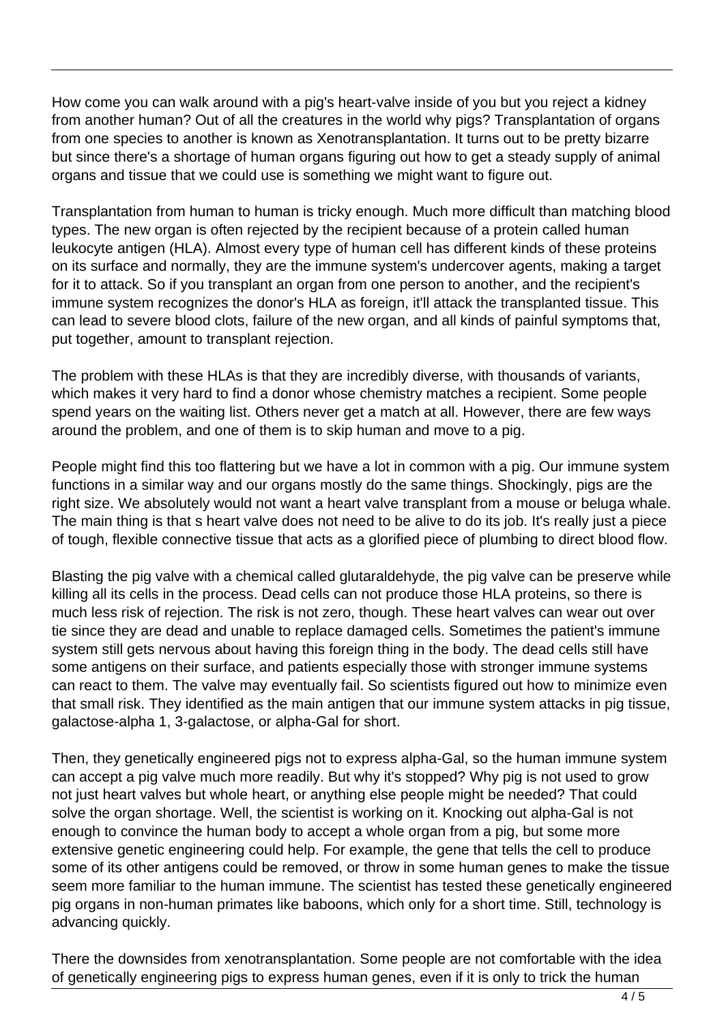How come you can walk around with a pig's heart-valve inside of you but you reject a kidney from another human? Out of all the creatures in the world why pigs? Transplantation of organs from one species to another is known as Xenotransplantation. It turns out to be pretty bizarre but since there's a shortage of human organs figuring out how to get a steady supply of animal organs and tissue that we could use is something we might want to figure out.

Transplantation from human to human is tricky enough. Much more difficult than matching blood types. The new organ is often rejected by the recipient because of a protein called human leukocyte antigen (HLA). Almost every type of human cell has different kinds of these proteins on its surface and normally, they are the immune system's undercover agents, making a target for it to attack. So if you transplant an organ from one person to another, and the recipient's immune system recognizes the donor's HLA as foreign, it'll attack the transplanted tissue. This can lead to severe blood clots, failure of the new organ, and all kinds of painful symptoms that, put together, amount to transplant rejection.

The problem with these HLAs is that they are incredibly diverse, with thousands of variants, which makes it very hard to find a donor whose chemistry matches a recipient. Some people spend years on the waiting list. Others never get a match at all. However, there are few ways around the problem, and one of them is to skip human and move to a pig.

People might find this too flattering but we have a lot in common with a pig. Our immune system functions in a similar way and our organs mostly do the same things. Shockingly, pigs are the right size. We absolutely would not want a heart valve transplant from a mouse or beluga whale. The main thing is that s heart valve does not need to be alive to do its job. It's really just a piece of tough, flexible connective tissue that acts as a glorified piece of plumbing to direct blood flow.

Blasting the pig valve with a chemical called glutaraldehyde, the pig valve can be preserve while killing all its cells in the process. Dead cells can not produce those HLA proteins, so there is much less risk of rejection. The risk is not zero, though. These heart valves can wear out over tie since they are dead and unable to replace damaged cells. Sometimes the patient's immune system still gets nervous about having this foreign thing in the body. The dead cells still have some antigens on their surface, and patients especially those with stronger immune systems can react to them. The valve may eventually fail. So scientists figured out how to minimize even that small risk. They identified as the main antigen that our immune system attacks in pig tissue, galactose-alpha 1, 3-galactose, or alpha-Gal for short.

Then, they genetically engineered pigs not to express alpha-Gal, so the human immune system can accept a pig valve much more readily. But why it's stopped? Why pig is not used to grow not just heart valves but whole heart, or anything else people might be needed? That could solve the organ shortage. Well, the scientist is working on it. Knocking out alpha-Gal is not enough to convince the human body to accept a whole organ from a pig, but some more extensive genetic engineering could help. For example, the gene that tells the cell to produce some of its other antigens could be removed, or throw in some human genes to make the tissue seem more familiar to the human immune. The scientist has tested these genetically engineered pig organs in non-human primates like baboons, which only for a short time. Still, technology is advancing quickly.

There the downsides from xenotransplantation. Some people are not comfortable with the idea of genetically engineering pigs to express human genes, even if it is only to trick the human